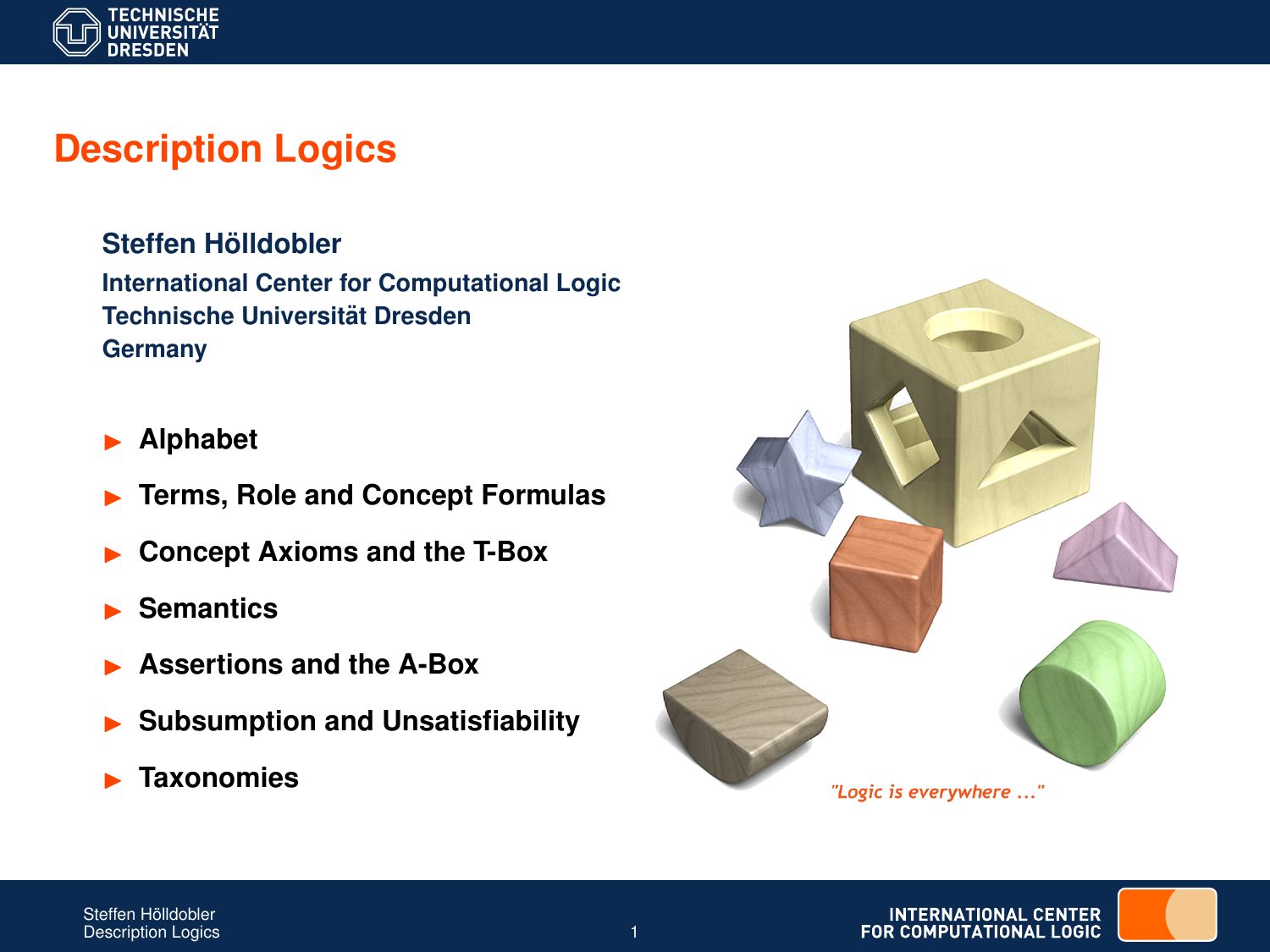

# **Description Logics**

 $Steffen H<sub>o</sub>$ *ildobler* **International Center for Computational Logic Technische Universitat Dresden ¨ Germany**

- I **Alphabet**
- I **Terms, Role and Concept Formulas**
- I **Concept Axioms and the T-Box**
- I **Semantics**
- I **Assertions and the A-Box**
- I **Subsumption and Unsatisfiability**
- I **Taxonomies**



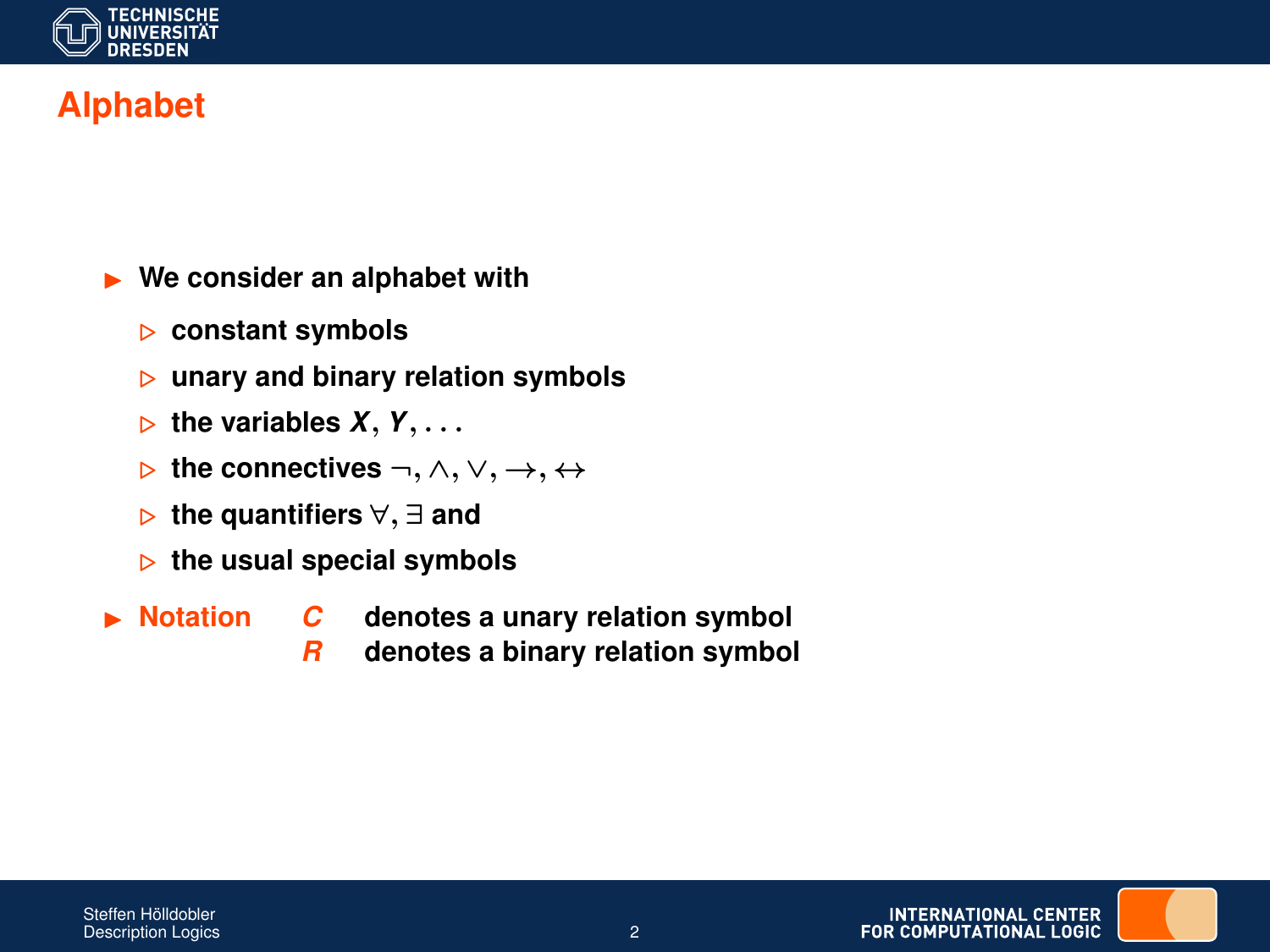

# **Alphabet**

#### I **We consider an alphabet with**

- . **constant symbols**
- . **unary and binary relation symbols**
- $\triangleright$  the variables  $X, Y, \ldots$
- . **the connectives** ¬, ∧, ∨, →, ↔
- . **the quantifiers** ∀, ∃ **and**
- $\triangleright$  the usual special symbols
- 
- ▶ Notation *C* denotes a unary relation symbol
	- *R* **denotes a binary relation symbol**



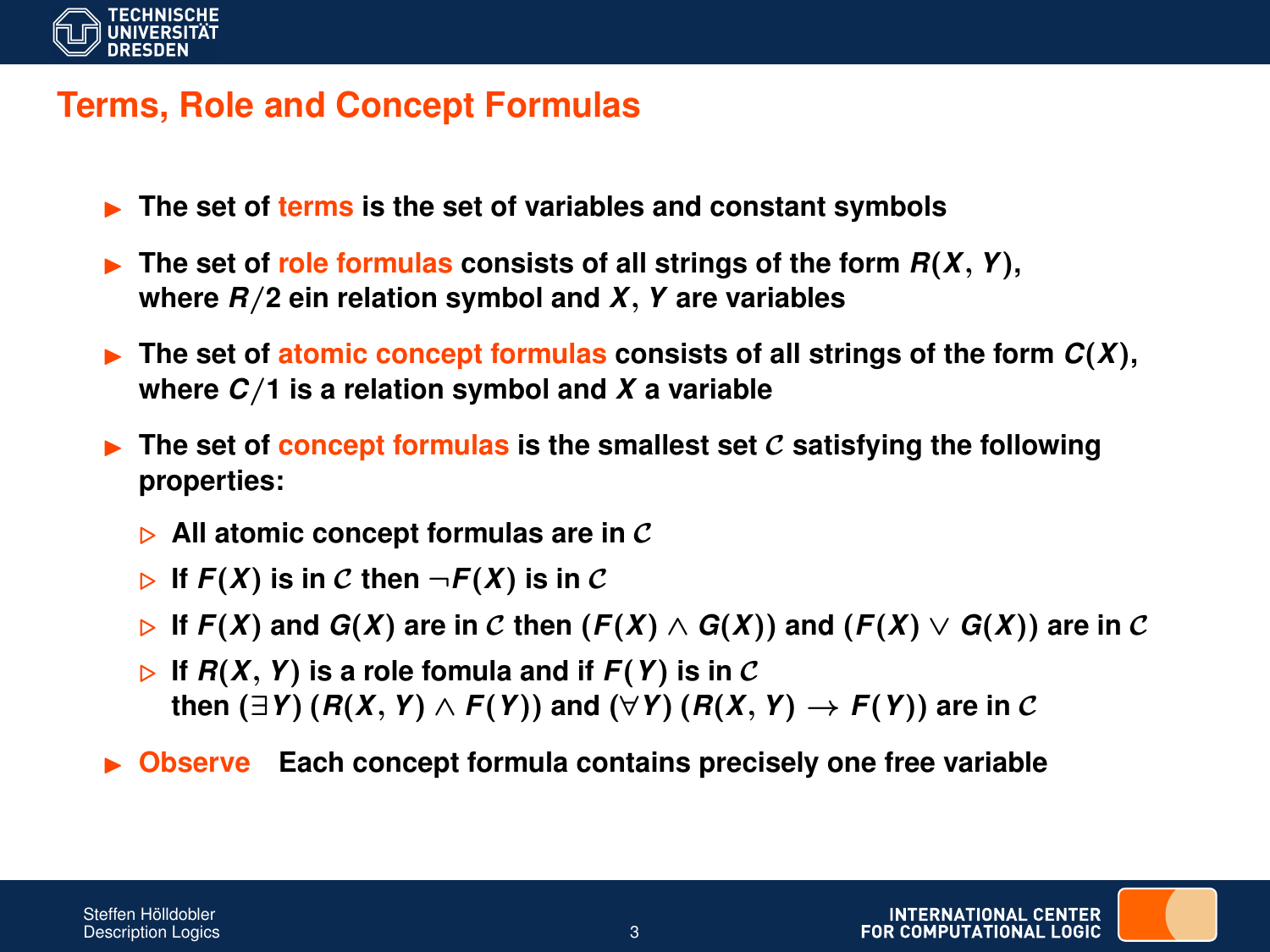

## **Terms, Role and Concept Formulas**

- ► The set of terms is the set of variables and constant symbols
- $\triangleright$  The set of role formulas consists of all strings of the form  $R(X, Y)$ , **where** *R*/**2 ein relation symbol and** *X*, *Y* **are variables**
- $\triangleright$  The set of **atomic concept formulas** consists of all strings of the form  $C(X)$ , **where** *C*/**1 is a relation symbol and** *X* **a variable**
- **F** The set of concept formulas is the smallest set C satisfying the following **properties:**
	- $\triangleright$  All atomic concept formulas are in C
	- $\triangleright$  If  $F(X)$  is in C then  $\neg F(X)$  is in C
	- $\triangleright$  **If**  $F(X)$  and  $G(X)$  are in C then  $(F(X) \wedge G(X))$  and  $(F(X) \vee G(X))$  are in C
	- $\triangleright$  If  $F(X, Y)$  is a role fomula and if  $F(Y)$  is in C **then** (∃*Y*) (*R*(*X*, *Y*) ∧ *F*(*Y*)) **and** (∀*Y*) (*R*(*X*, *Y*) → *F*(*Y*)) **are in** C
- **Observe** Each concept formula contains precisely one free variable

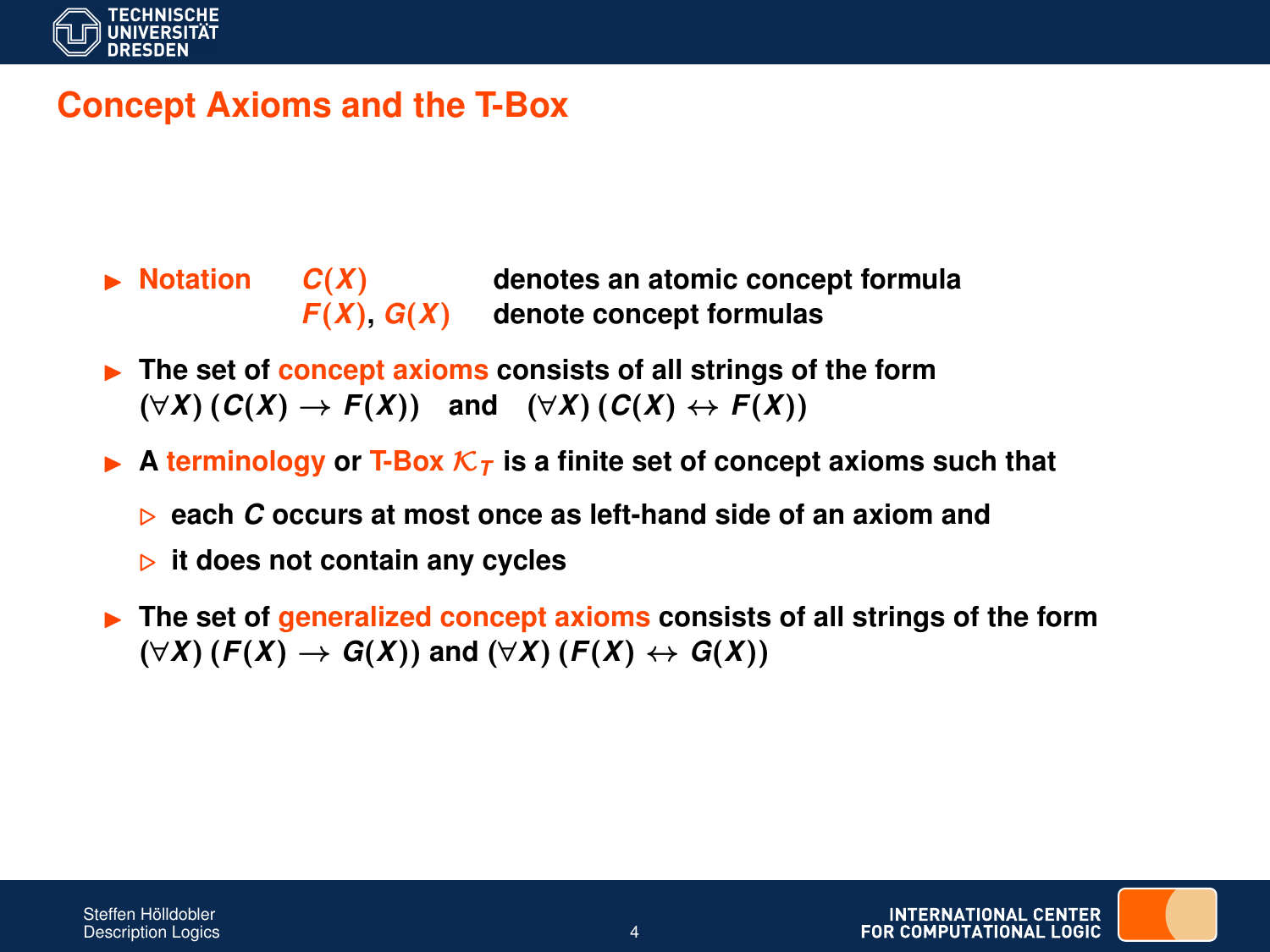

## **Concept Axioms and the T-Box**

- $\triangleright$  **Notation**  $C(X)$  denotes an atomic concept formula  $F(X)$ ,  $G(X)$  denote concept formulas
- **FRE** The set of **concept axioms** consists of all strings of the form  $(\forall X) (C(X) \rightarrow F(X))$  and  $(\forall X) (C(X) \leftrightarrow F(X))$
- A **terminology** or **T-Box**  $\mathcal{K}_T$  is a finite set of concept axioms such that
	- . **each** *C* **occurs at most once as left-hand side of an axiom and**
	- . **it does not contain any cycles**
- **FIRM** The set of generalized concept axioms consists of all strings of the form  $(\forall X)$  (*F*(*X*) → *G*(*X*)) and ( $\forall X$ ) (*F*(*X*) ↔ *G*(*X*))

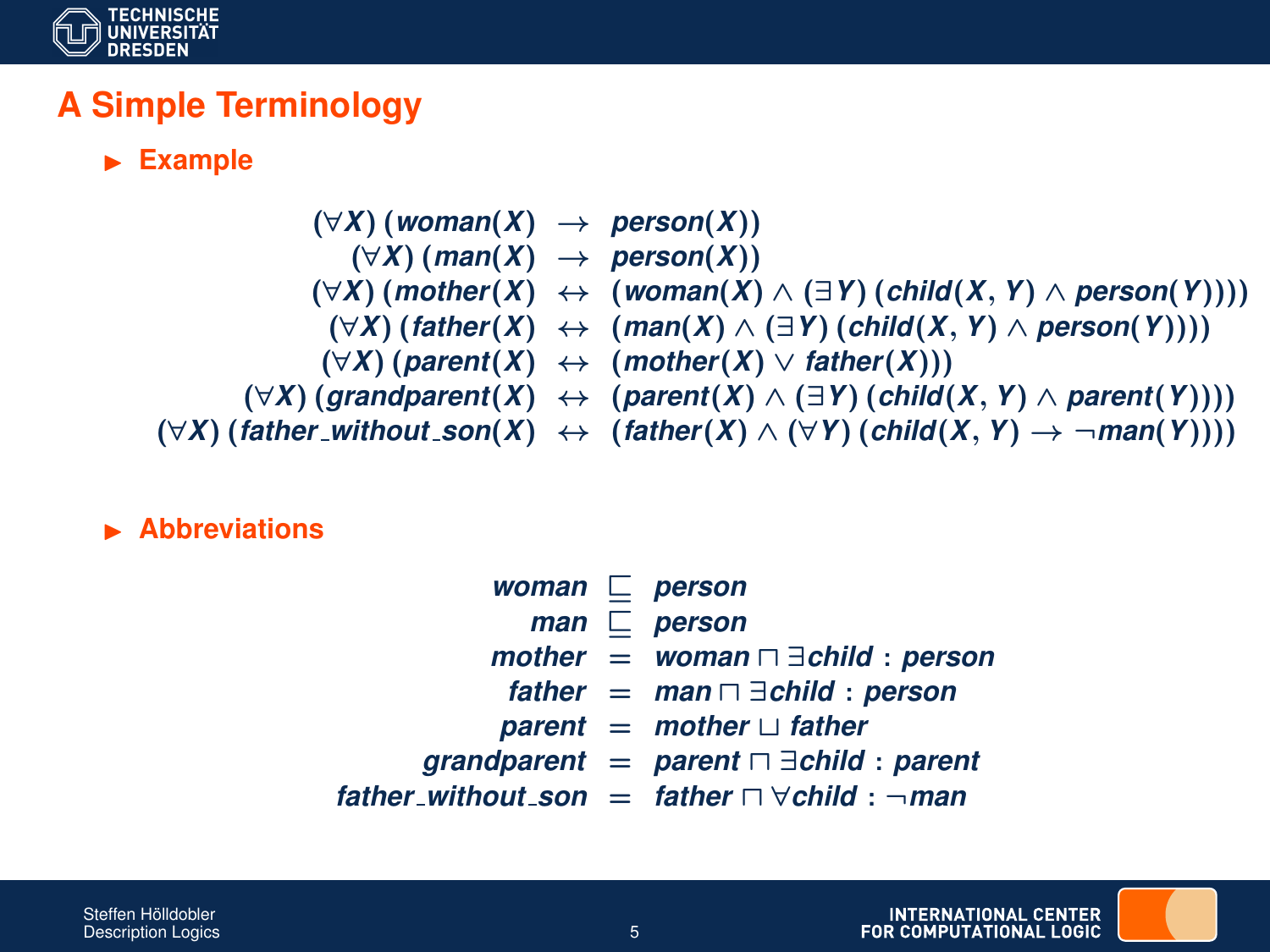

## **A Simple Terminology**

#### **Example**

- (∀*X*) (*woman*(*X*) → *person*(*X*))
	- $(\forall X)$  (*man*(*X*)  $\rightarrow$  *person*(*X*))
- (∀*X*) (*mother*(*X*) ↔ (*woman*(*X*) ∧ (∃*Y*) (*child*(*X*, *Y*) ∧ *person*(*Y*))))
	- (∀*X*) (*father*(*X*) ↔ (*man*(*X*) ∧ (∃*Y*) (*child*(*X*, *Y*) ∧ *person*(*Y*))))
- (∀*X*) (*parent*(*X*) ↔ (*mother*(*X*) ∨ *father*(*X*)))
	-
- $(\forall X)$  (grandparent(*X*) ↔ (parent(*X*) ∧ (∃*Y*) (*child*(*X*, *Y*) ∧ parent(*Y*))))
- 
- $(\forall X)$  (*father\_without\_son*(*X*) ↔ (*father*(*X*) ∧ ( $\forall Y$ ) (*child*(*X*, *Y*) → ¬*man*(*Y*))))

#### **Abbreviations**

|  | woman $\Box$ person                                           |
|--|---------------------------------------------------------------|
|  | $man \n\sqsubset person$                                      |
|  | mother = woman $\Box$ $\exists$ child : person                |
|  | father $=$ man $\Box$ $\exists$ child : person                |
|  | parent = mother $\sqcup$ father                               |
|  | grandparent = parent $\Box$ $\exists$ child : parent          |
|  | father_without_son = father $\Box \forall$ child : $\neg$ man |

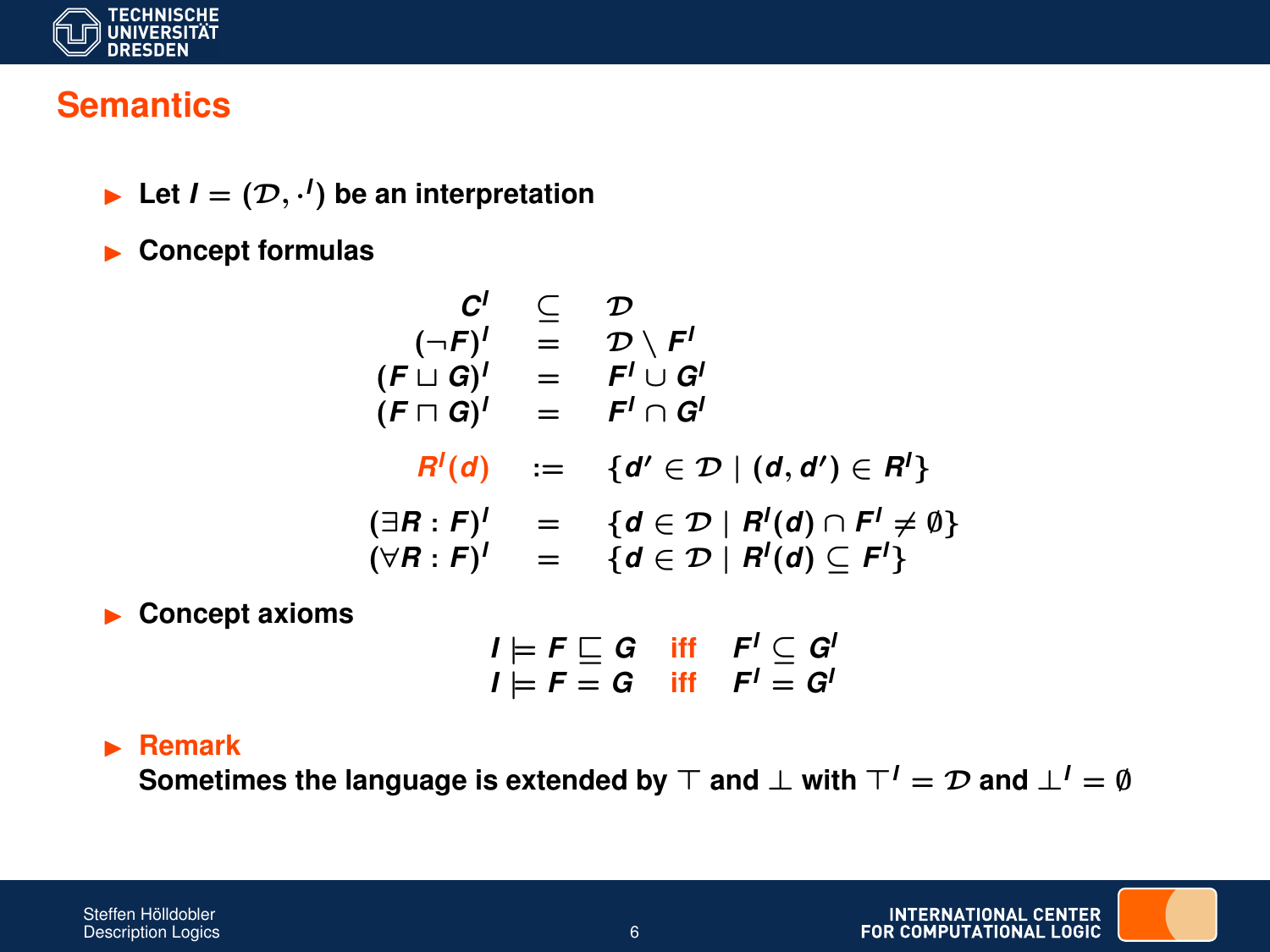

### **Semantics**

Eet  $I = (\mathcal{D}, \cdot')$  be an interpretation

**Exercise Concept formulas** 

$$
C^I \subseteq D
$$
  
\n
$$
(\neg F)^I = D \setminus F^I
$$
  
\n
$$
(F \sqcup G)^I = F^I \sqcup G^I
$$
  
\n
$$
(F \sqcap G)^I = F^I \cap G^I
$$
  
\n
$$
R^I(d) := \{d' \in \mathcal{D} \mid (d, d') \in R^I\}
$$
  
\n
$$
(\exists R : F)^I = \{d \in \mathcal{D} \mid R^I(d) \cap F^I \neq \emptyset\}
$$
  
\n
$$
(\forall R : F)^I = \{d \in \mathcal{D} \mid R^I(d) \subseteq F^I\}
$$

**EXECONCEPTE AXIOMS** 

$$
I \models F \sqsubseteq G \quad \text{iff} \quad F' \subseteq G'
$$
  

$$
I \models F = G \quad \text{iff} \quad F' = G'
$$

#### I **Remark**

**Sometimes the language is extended by**  $\top$  and  $\bot$  with  $\top' = \mathcal{D}$  and  $\bot' = \emptyset$ 

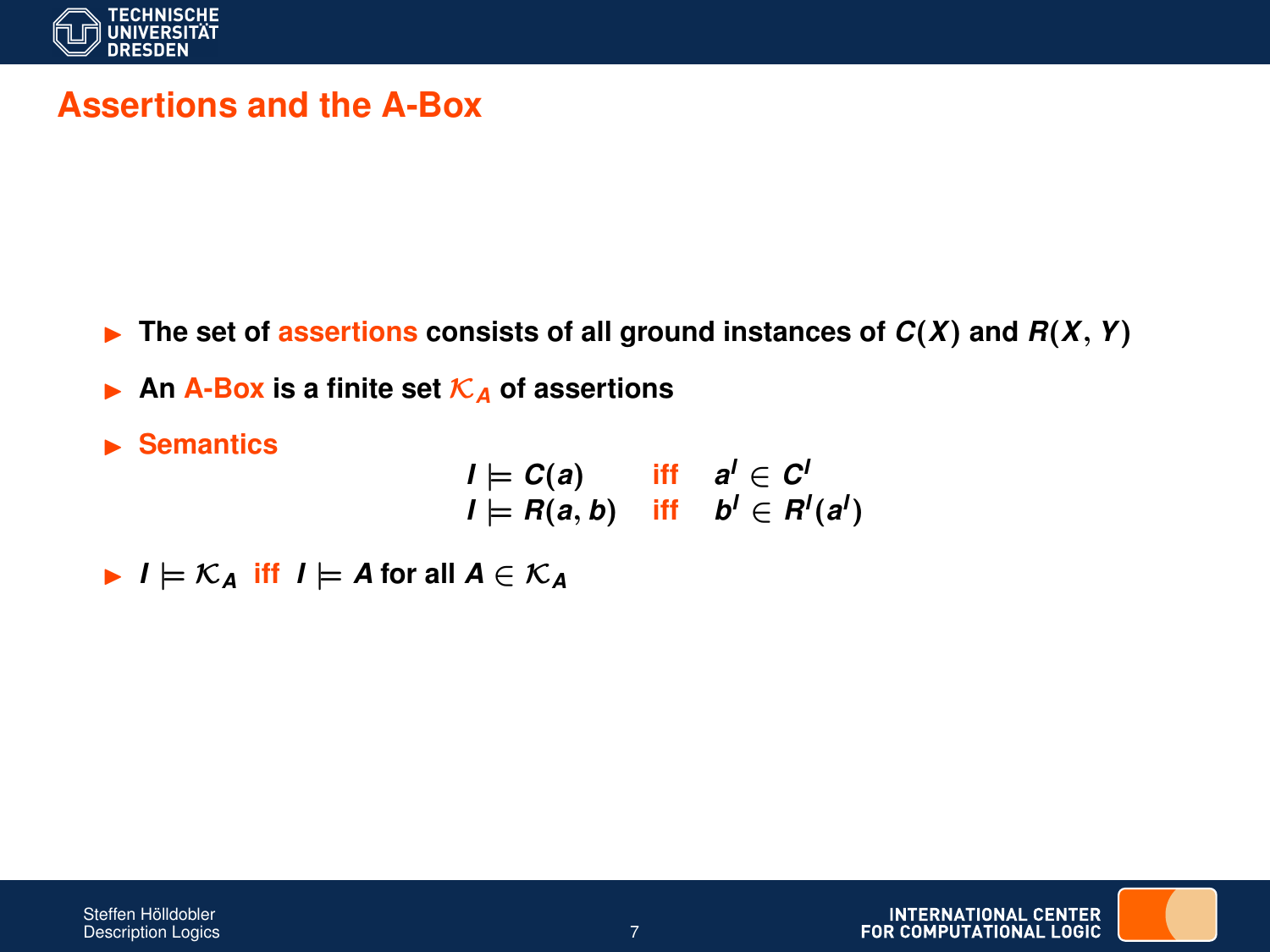

### **Assertions and the A-Box**

- $\triangleright$  The set of *assertions* consists of all ground instances of  $C(X)$  and  $R(X, Y)$
- **An** A-Box is a finite set  $K_A$  of assertions
- **In Semantics**

$$
I \models C(a) \quad \text{iff} \quad a^l \in C^l
$$
  

$$
I \models R(a, b) \quad \text{iff} \quad b^l \in R^l(a^l)
$$

 $I \models \mathcal{K}_A$  iff  $I \models A$  for all  $A \in \mathcal{K}_A$ 

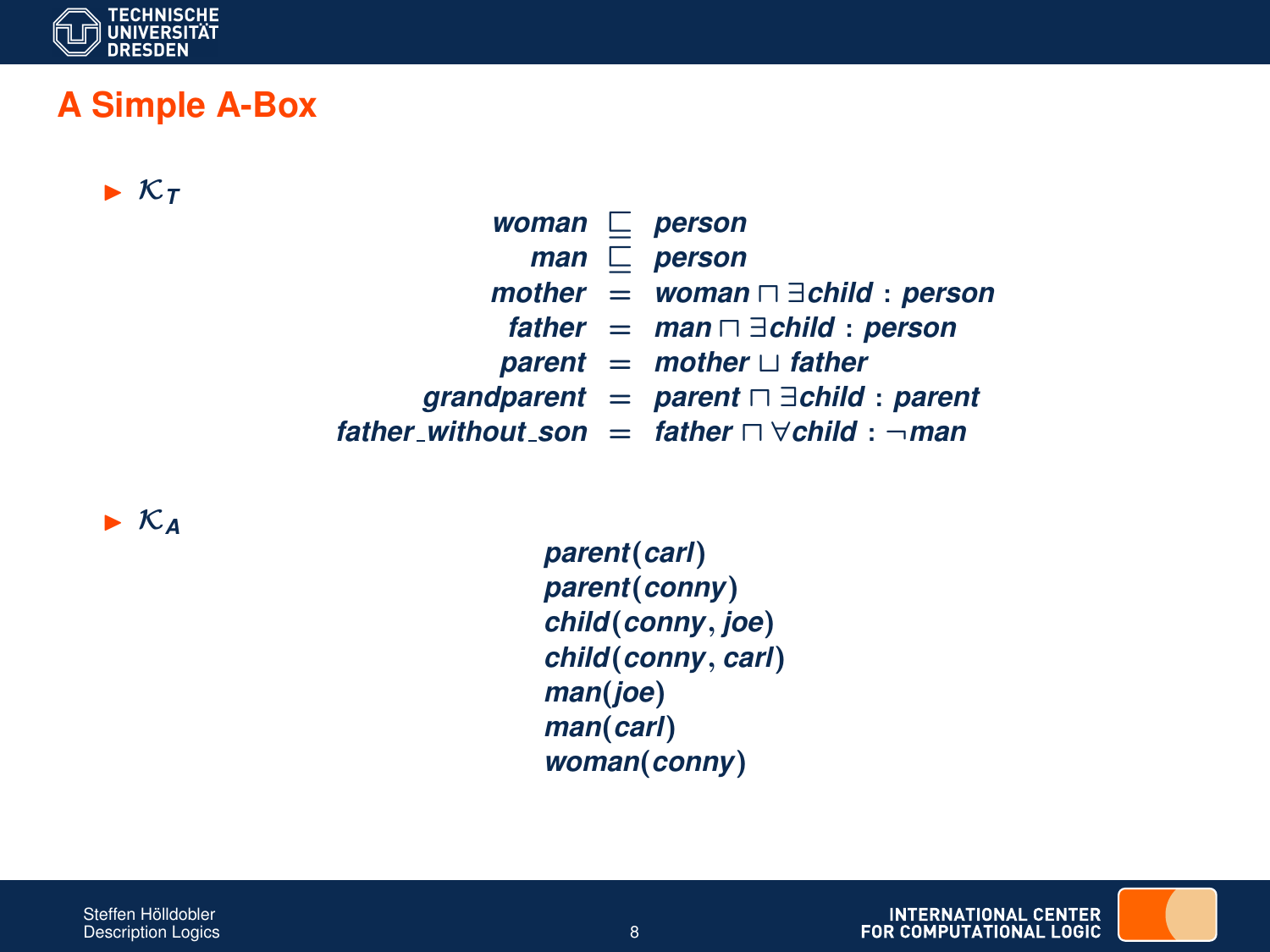

### **A Simple A-Box**

 $\triangleright$   $\kappa$ <sub>T</sub>

*woman*  $\Box$  *person*  $man \nightharpoonup person$  $mother = woman \square \exists child : person$  $father = man \square \exists child : person$  $parent = mother \sqcup father$  $$  $father_without\_son = father \nabla \forall child : \neg man$ 

 $\triangleright$  K<sub>A</sub>

*parent*(*carl*) *parent*(*conny*) *child*(*conny*, *joe*) *child*(*conny*, *carl*) *man*(*joe*) *man*(*carl*) *woman*(*conny*)

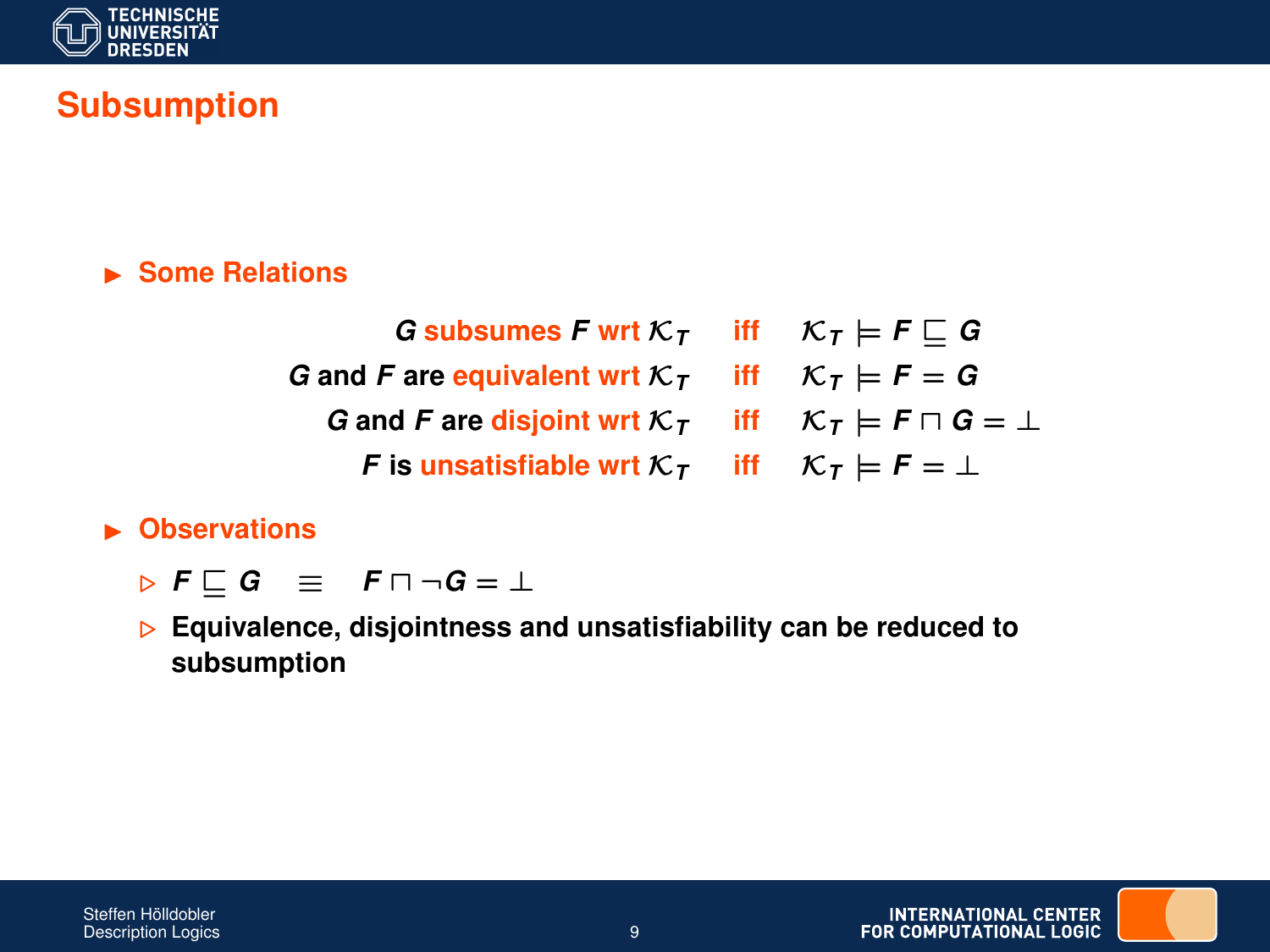

## **Subsumption**

#### I **Some Relations**

*G* subsumes *F* wrt  $K_T$  iff  $K_T \models F \sqsubseteq G$ *G* and *F* are equivalent wrt  $K_T$  iff  $K_T \models F = G$ *G* and *F* are disjoint wrt  $K_T$  iff  $K_T \models F \sqcap G = \bot$ *F* is unsatisfiable wrt  $K_T$  iff  $K_T \models F = \bot$ 

#### **E** Observations

- *⊳* $F \sqsubset G$   $\equiv$   $F \sqcap \neg G = \bot$
- . **Equivalence, disjointness and unsatisfiability can be reduced to subsumption**

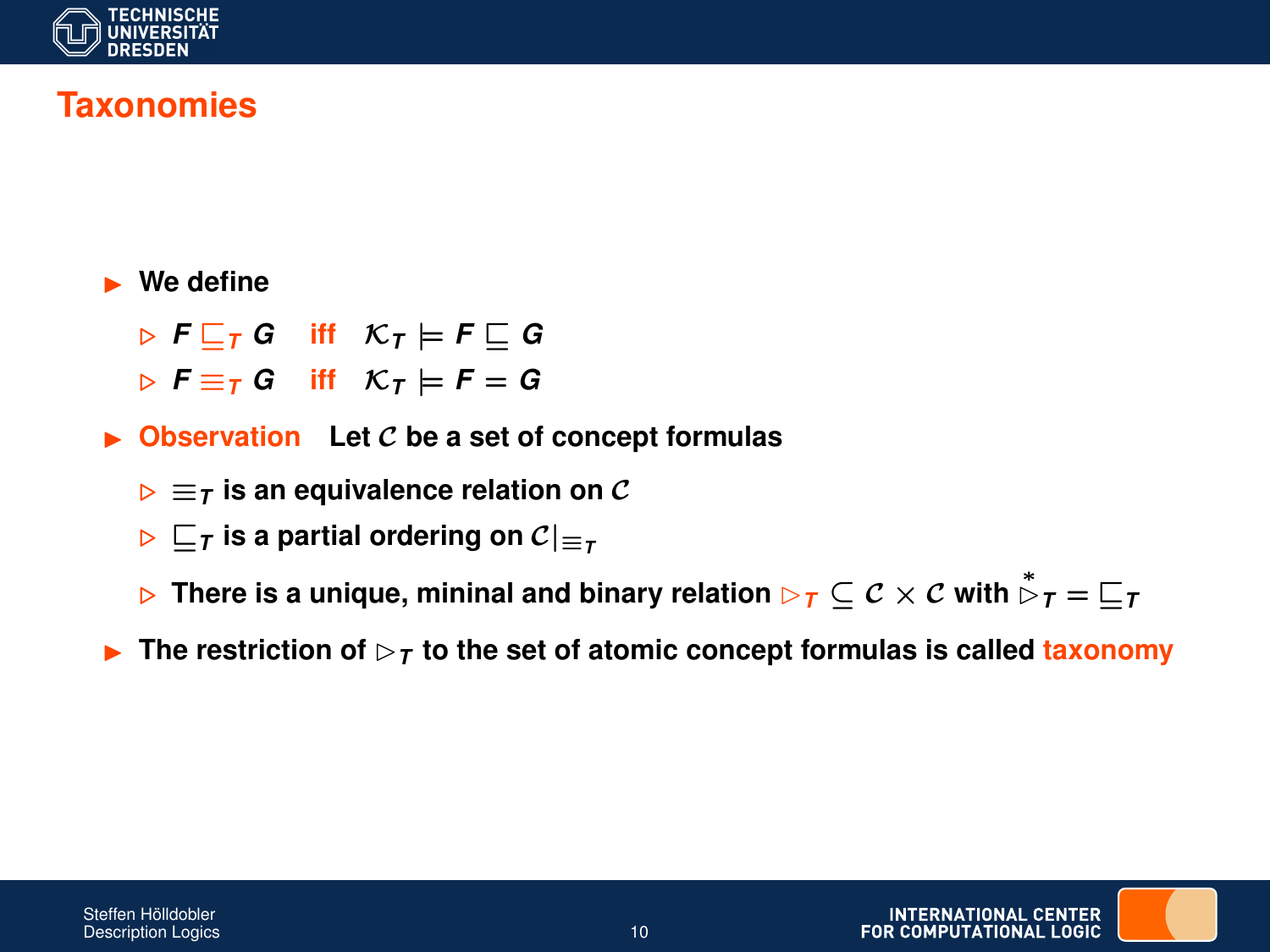

## **Taxonomies**

#### **Ne define**

 $\triangleright$  **F**  $\sqsubset$ <sub>*T*</sub> G iff  $K$ <sub>*T*</sub>  $\models$  **F**  $\sqsubset$  G

- $\triangleright$  **F**  $\equiv$  *T* G iff K<sub>*T*</sub>  $\models$  **F** = G
- $\triangleright$  Observation Let C be a set of concept formulas
	- $\triangleright \equiv \tau$  is an equivalence relation on C
	- $\triangleright$   $\sqsubset$ <sub>*T*</sub> is a partial ordering on  $\mathcal{C}|_{\sqsubset}$ <sub>*T*</sub>
	- ⊳ There is a unique, mininal and binary relation ⊳<sub>7</sub> ⊆  $\mathcal{C}\times\mathcal{C}$  with  $\stackrel{*}{\vartriangleright}_{\mathcal{T}}=\sqsubseteq_{\mathcal{T}}$
- **F** The restriction of  $\triangleright$   $\tau$  to the set of atomic concept formulas is called taxonomy

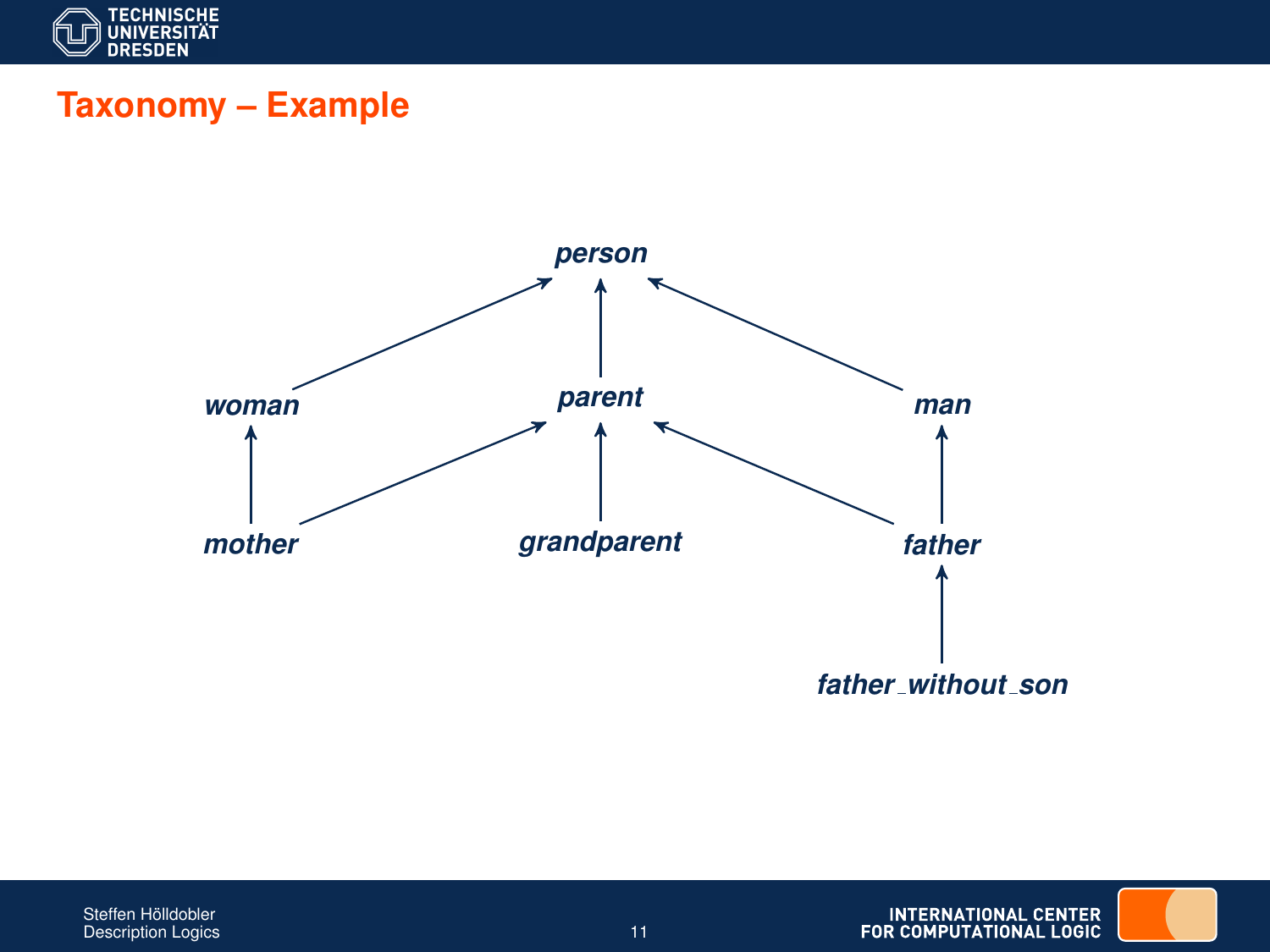

# **Taxonomy – Example**

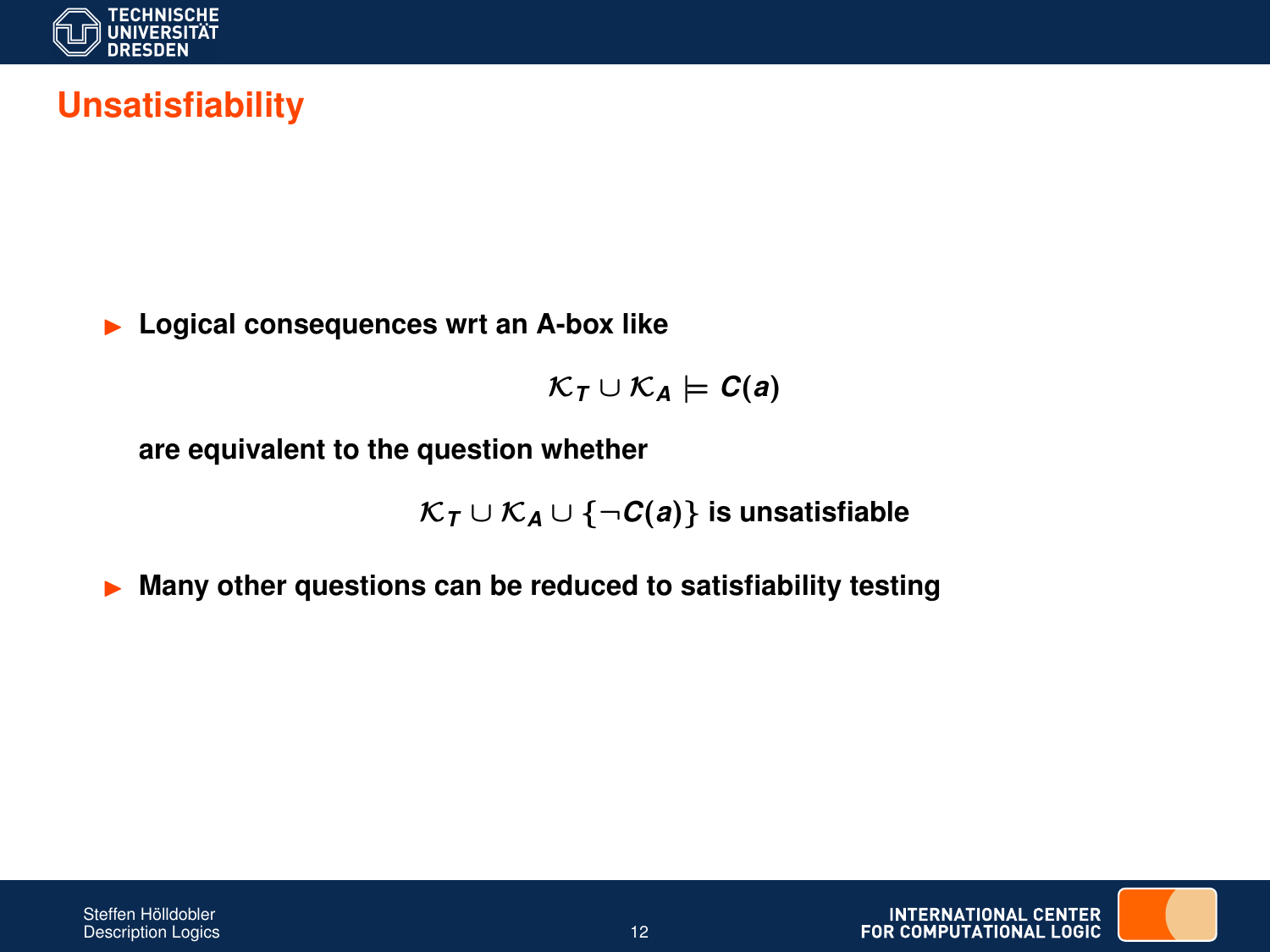

## **Unsatisfiability**

**Logical consequences wrt an A-box like** 

 $\mathcal{K}_T \cup \mathcal{K}_A \models C(a)$ 

**are equivalent to the question whether**

K*<sup>T</sup>* ∪ K*<sup>A</sup>* ∪ {¬*C*(*a*)} **is unsatisfiable**

I **Many other questions can be reduced to satisfiability testing**

**INTERNATIONAL CENTER** FOR COMPUTATIONAL LOGIC